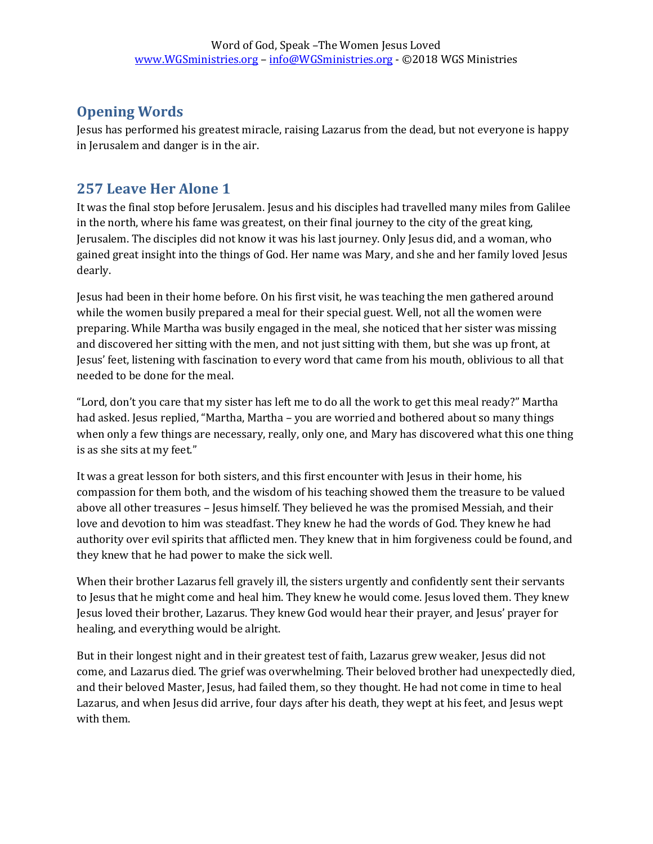## **Opening Words**

Jesus has performed his greatest miracle, raising Lazarus from the dead, but not everyone is happy in Jerusalem and danger is in the air.

## **257 Leave Her Alone 1**

It was the final stop before Jerusalem. Jesus and his disciples had travelled many miles from Galilee in the north, where his fame was greatest, on their final journey to the city of the great king, Jerusalem. The disciples did not know it was his last journey. Only Jesus did, and a woman, who gained great insight into the things of God. Her name was Mary, and she and her family loved Jesus dearly.

Jesus had been in their home before. On his first visit, he was teaching the men gathered around while the women busily prepared a meal for their special guest. Well, not all the women were preparing. While Martha was busily engaged in the meal, she noticed that her sister was missing and discovered her sitting with the men, and not just sitting with them, but she was up front, at Jesus' feet, listening with fascination to every word that came from his mouth, oblivious to all that needed to be done for the meal.

"Lord, don't you care that my sister has left me to do all the work to get this meal ready?" Martha had asked. Jesus replied, "Martha, Martha – you are worried and bothered about so many things when only a few things are necessary, really, only one, and Mary has discovered what this one thing is as she sits at my feet."

It was a great lesson for both sisters, and this first encounter with Jesus in their home, his compassion for them both, and the wisdom of his teaching showed them the treasure to be valued above all other treasures – Jesus himself. They believed he was the promised Messiah, and their love and devotion to him was steadfast. They knew he had the words of God. They knew he had authority over evil spirits that afflicted men. They knew that in him forgiveness could be found, and they knew that he had power to make the sick well.

When their brother Lazarus fell gravely ill, the sisters urgently and confidently sent their servants to Jesus that he might come and heal him. They knew he would come. Jesus loved them. They knew Jesus loved their brother, Lazarus. They knew God would hear their prayer, and Jesus' prayer for healing, and everything would be alright.

But in their longest night and in their greatest test of faith, Lazarus grew weaker, Jesus did not come, and Lazarus died. The grief was overwhelming. Their beloved brother had unexpectedly died, and their beloved Master, Jesus, had failed them, so they thought. He had not come in time to heal Lazarus, and when Jesus did arrive, four days after his death, they wept at his feet, and Jesus wept with them.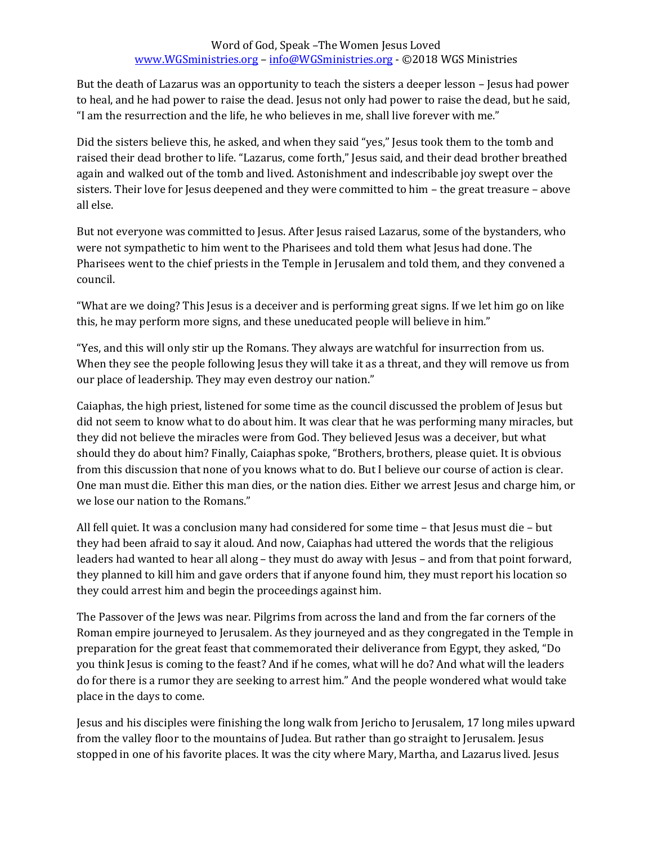But the death of Lazarus was an opportunity to teach the sisters a deeper lesson – Jesus had power to heal, and he had power to raise the dead. Jesus not only had power to raise the dead, but he said, "I am the resurrection and the life, he who believes in me, shall live forever with me."

Did the sisters believe this, he asked, and when they said "yes," Jesus took them to the tomb and raised their dead brother to life. "Lazarus, come forth," Jesus said, and their dead brother breathed again and walked out of the tomb and lived. Astonishment and indescribable joy swept over the sisters. Their love for Jesus deepened and they were committed to him – the great treasure – above all else.

But not everyone was committed to Jesus. After Jesus raised Lazarus, some of the bystanders, who were not sympathetic to him went to the Pharisees and told them what Jesus had done. The Pharisees went to the chief priests in the Temple in Jerusalem and told them, and they convened a council.

"What are we doing? This Jesus is a deceiver and is performing great signs. If we let him go on like this, he may perform more signs, and these uneducated people will believe in him."

"Yes, and this will only stir up the Romans. They always are watchful for insurrection from us. When they see the people following Jesus they will take it as a threat, and they will remove us from our place of leadership. They may even destroy our nation."

Caiaphas, the high priest, listened for some time as the council discussed the problem of Jesus but did not seem to know what to do about him. It was clear that he was performing many miracles, but they did not believe the miracles were from God. They believed Jesus was a deceiver, but what should they do about him? Finally, Caiaphas spoke, "Brothers, brothers, please quiet. It is obvious from this discussion that none of you knows what to do. But I believe our course of action is clear. One man must die. Either this man dies, or the nation dies. Either we arrest Jesus and charge him, or we lose our nation to the Romans."

All fell quiet. It was a conclusion many had considered for some time – that Jesus must die – but they had been afraid to say it aloud. And now, Caiaphas had uttered the words that the religious leaders had wanted to hear all along – they must do away with Jesus – and from that point forward, they planned to kill him and gave orders that if anyone found him, they must report his location so they could arrest him and begin the proceedings against him.

The Passover of the Jews was near. Pilgrims from across the land and from the far corners of the Roman empire journeyed to Jerusalem. As they journeyed and as they congregated in the Temple in preparation for the great feast that commemorated their deliverance from Egypt, they asked, "Do you think Jesus is coming to the feast? And if he comes, what will he do? And what will the leaders do for there is a rumor they are seeking to arrest him." And the people wondered what would take place in the days to come.

Jesus and his disciples were finishing the long walk from Jericho to Jerusalem, 17 long miles upward from the valley floor to the mountains of Judea. But rather than go straight to Jerusalem. Jesus stopped in one of his favorite places. It was the city where Mary, Martha, and Lazarus lived. Jesus